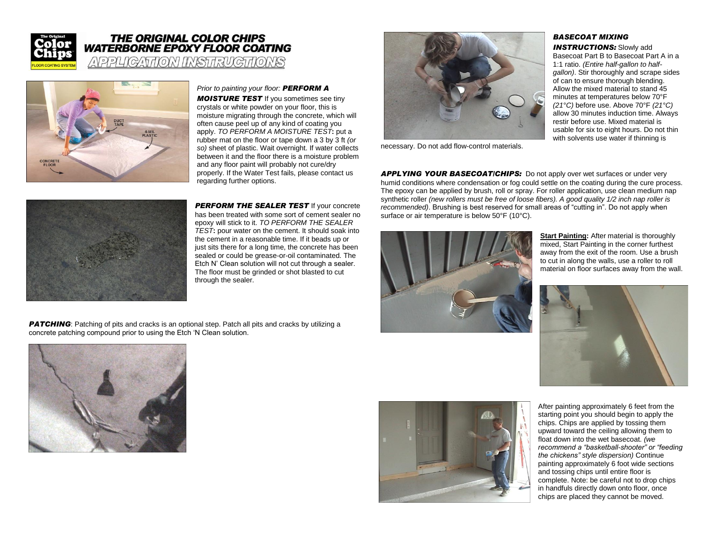

## **THE ORIGINAL COLOR CHIPS WATERBORNE EPOXY FLOOR COATING**

APPUCATION INSTRUCTIONS



*Prior to painting your floor: PERFORM A* 

*MOISTURE TEST* If you sometimes see tiny crystals or white powder on your floor, this is moisture migrating through the concrete, which will often cause peel up of any kind of coating you apply. *TO PERFORM A MOISTURE TEST***:** put a rubber mat on the floor or tape down a 3 by 3 ft *(or so)* sheet of plastic. Wait overnight. If water collects between it and the floor there is a moisture problem and any floor paint will probably not cure/dry properly. If the Water Test fails, please contact us regarding further options.



**PERFORM THE SEALER TEST If your concrete** has been treated with some sort of cement sealer no epoxy will stick to it. *TO PERFORM THE SEALER TEST***:** pour water on the cement. It should soak into the cement in a reasonable time. If it beads up or just sits there for a long time, the concrete has been sealed or could be grease-or-oil contaminated. The Etch N" Clean solution will not cut through a sealer. The floor must be grinded or shot blasted to cut through the sealer.

**PATCHING**: Patching of pits and cracks is an optional step. Patch all pits and cracks by utilizing a concrete patching compound prior to using the Etch "N Clean solution.





necessary. Do not add flow-control materials.

## *BASECOAT MIXING*  **INSTRUCTIONS:** Slowly add

Basecoat Part B to Basecoat Part A in a 1:1 ratio. *(Entire half-gallon to halfgallon)*. Stir thoroughly and scrape sides of can to ensure thorough blending. Allow the mixed material to stand 45 minutes at temperatures below 70°F *(21°C)* before use. Above 70°F *(21°C)* allow 30 minutes induction time. Always restir before use. Mixed material is usable for six to eight hours. Do not thin with solvents use water if thinning is

*APPLYING YOUR BASECOAT/CHIPS:* Do not apply over wet surfaces or under very humid conditions where condensation or fog could settle on the coating during the cure process. The epoxy can be applied by brush, roll or spray. For roller application, use clean medium nap synthetic roller *(new rollers must be free of loose fibers). A good quality 1/2 inch nap roller is recommended)*. Brushing is best reserved for small areas of "cutting in". Do not apply when surface or air temperature is below 50°F (10°C).



**Start Painting: After material is thoroughly** mixed, Start Painting in the corner furthest away from the exit of the room. Use a brush to cut in along the walls, use a roller to roll material on floor surfaces away from the wall.





After painting approximately 6 feet from the starting point you should begin to apply the chips. Chips are applied by tossing them upward toward the ceiling allowing them to float down into the wet basecoat. *(we recommend a "basketball-shooter" or "feeding the chickens" style dispersion)* Continue painting approximately 6 foot wide sections and tossing chips until entire floor is complete. Note: be careful not to drop chips in handfuls directly down onto floor, once chips are placed they cannot be moved.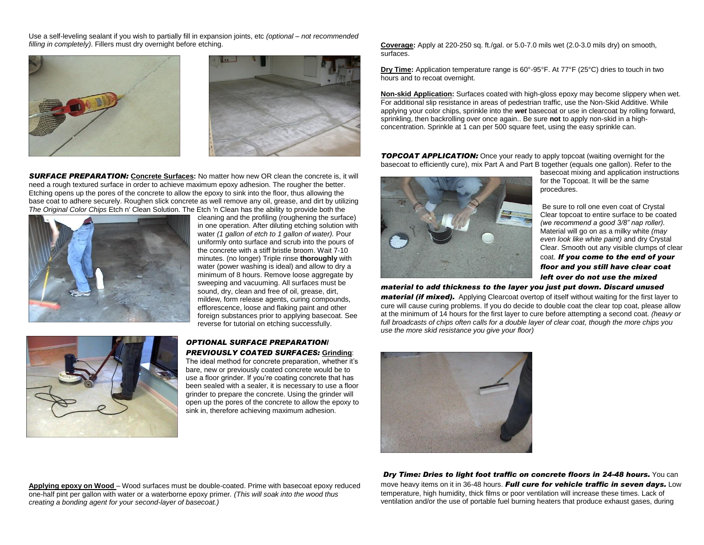Use a self-leveling sealant if you wish to partially fill in expansion joints, etc *(optional – not recommended filling in completely)*. Fillers must dry overnight before etching.





**SURFACE PREPARATION:** Concrete Surfaces: No matter how new OR clean the concrete is, it will need a rough textured surface in order to achieve maximum epoxy adhesion. The rougher the better. Etching opens up the pores of the concrete to allow the epoxy to sink into the floor, thus allowing the base coat to adhere securely. Roughen slick concrete as well remove any oil, grease, and dirt by utilizing *The Original Color Chips* Etch n' Clean Solution. The Etch 'n Clean has the ability to provide both the



cleaning and the profiling (roughening the surface) in one operation. After diluting etching solution with water *(1 gallon of etch to 1 gallon of water).* Pour uniformly onto surface and scrub into the pours of the concrete with a stiff bristle broom. Wait 7-10 minutes. (no longer) Triple rinse **thoroughly** with water (power washing is ideal) and allow to dry a minimum of 8 hours. Remove loose aggregate by sweeping and vacuuming. All surfaces must be sound, dry, clean and free of oil, grease, dirt, mildew, form release agents, curing compounds, efflorescence, loose and flaking paint and other foreign substances prior to applying basecoat. See reverse for tutorial on etching successfully.



## *OPTIONAL SURFACE PREPARATION/ PREVIOUSLY COATED SURFACES:* **Grinding**:

The ideal method for concrete preparation, whether it's bare, new or previously coated concrete would be to use a floor grinder. If you"re coating concrete that has been sealed with a sealer, it is necessary to use a floor grinder to prepare the concrete. Using the grinder will open up the pores of the concrete to allow the epoxy to sink in, therefore achieving maximum adhesion.

**Coverage:** Apply at 220-250 sq. ft./gal. or 5.0-7.0 mils wet (2.0-3.0 mils dry) on smooth, surfaces.

**Dry Time:** Application temperature range is 60°-95°F. At 77°F (25°C) dries to touch in two hours and to recoat overnight.

**Non-skid Application:** Surfaces coated with high-gloss epoxy may become slippery when wet. For additional slip resistance in areas of pedestrian traffic, use the Non-Skid Additive. While applying your color chips, sprinkle into the *wet* basecoat or use in clearcoat by rolling forward, sprinkling, then backrolling over once again.. Be sure **not** to apply non-skid in a highconcentration. Sprinkle at 1 can per 500 square feet, using the easy sprinkle can.

**TOPCOAT APPLICATION:** Once your ready to apply topcoat (waiting overnight for the basecoat to efficiently cure), mix Part A and Part B together (equals one gallon). Refer to the



basecoat mixing and application instructions for the Topcoat. It will be the same procedures.

Be sure to roll one even coat of Crystal Clear topcoat to entire surface to be coated *(we recommend a good 3/8" nap roller).* Material will go on as a milky white *(may even look like white paint)* and dry Crystal Clear. Smooth out any visible clumps of clear coat. *If you come to the end of your floor and you still have clear coat left over do not use the mixed* 

*material to add thickness to the layer you just put down. Discard unused* 

*material (if mixed).* Applying Clearcoat overtop of itself without waiting for the first layer to cure will cause curing problems. If you do decide to double coat the clear top coat, please allow at the minimum of 14 hours for the first layer to cure before attempting a second coat. *(heavy or full broadcasts of chips often calls for a double layer of clear coat, though the more chips you use the more skid resistance you give your floor)*



**Applying epoxy on Wood** – Wood surfaces must be double-coated. Prime with basecoat epoxy reduced one-half pint per gallon with water or a waterborne epoxy primer*. (This will soak into the wood thus creating a bonding agent for your second-layer of basecoat.)*

*Dry Time: Dries to light foot traffic on concrete floors in 24-48 hours.* You can move heavy items on it in 36-48 hours. *Full cure for vehicle traffic in seven days.* Low temperature, high humidity, thick films or poor ventilation will increase these times. Lack of ventilation and/or the use of portable fuel burning heaters that produce exhaust gases, during